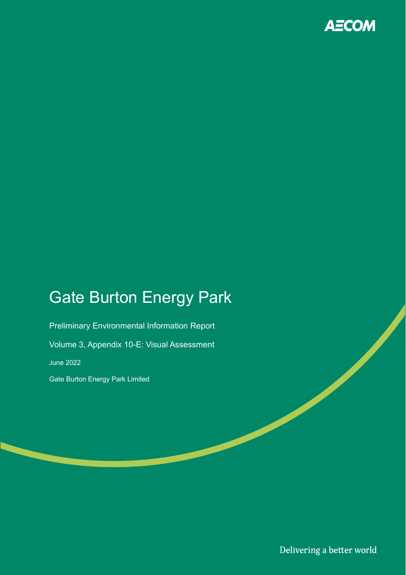

## Gate Burton Energy Park

Preliminary Environmental Information Report Volume 3, Appendix 10-E: Visual Assessment June 2022 Gate Burton Energy Park Limited

Delivering a better world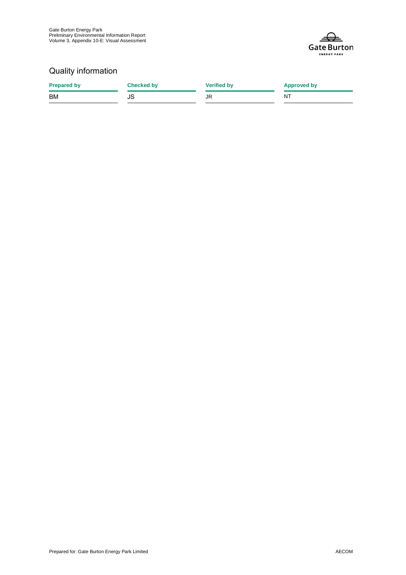

## Quality information

| <b>Prepared by</b> | <b>Checked by</b> | <b>Verified by</b> | <b>Approved by</b> |
|--------------------|-------------------|--------------------|--------------------|
| <b>BM</b>          | JS                | JR                 | NT.                |
|                    |                   |                    |                    |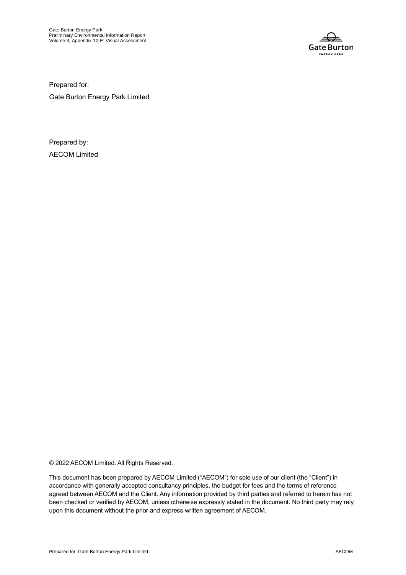

Prepared for:

Gate Burton Energy Park Limited

Prepared by: AECOM Limited

© 2022 AECOM Limited. All Rights Reserved.

This document has been prepared by AECOM Limited ("AECOM") for sole use of our client (the "Client") in accordance with generally accepted consultancy principles, the budget for fees and the terms of reference agreed between AECOM and the Client. Any information provided by third parties and referred to herein has not been checked or verified by AECOM, unless otherwise expressly stated in the document. No third party may rely upon this document without the prior and express written agreement of AECOM.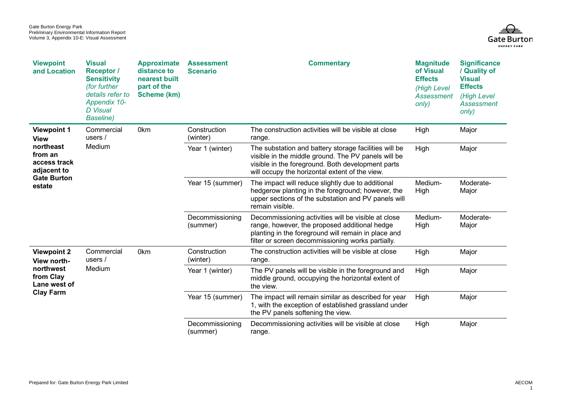

| <b>Viewpoint</b><br>and Location                                                                                         | <b>Visual</b><br><b>Receptor</b> /<br><b>Sensitivity</b><br>(for further<br>details refer to<br>Appendix 10-<br><b>D</b> Visual<br><b>Baseline</b> ) | <b>Approximate</b><br>distance to<br>nearest built<br>part of the<br>Scheme (km) | <b>Assessment</b><br><b>Scenario</b> | <b>Commentary</b>                                                                                                                                                                                                   | <b>Magnitude</b><br>of Visual<br><b>Effects</b><br>(High Level<br>Assessment<br>only) | <b>Significance</b><br>/ Quality of<br><b>Visual</b><br><b>Effects</b><br>(High Level<br>Assessment<br>only) |
|--------------------------------------------------------------------------------------------------------------------------|------------------------------------------------------------------------------------------------------------------------------------------------------|----------------------------------------------------------------------------------|--------------------------------------|---------------------------------------------------------------------------------------------------------------------------------------------------------------------------------------------------------------------|---------------------------------------------------------------------------------------|--------------------------------------------------------------------------------------------------------------|
| <b>Viewpoint 1</b><br><b>View</b><br>northeast<br>from an<br>access track<br>adjacent to<br><b>Gate Burton</b><br>estate | Commercial<br>users $/$                                                                                                                              | 0 <sub>km</sub>                                                                  | Construction<br>(winter)             | The construction activities will be visible at close<br>range.                                                                                                                                                      | High                                                                                  | Major                                                                                                        |
|                                                                                                                          | Medium                                                                                                                                               |                                                                                  | Year 1 (winter)                      | The substation and battery storage facilities will be<br>visible in the middle ground. The PV panels will be<br>visible in the foreground. Both development parts<br>will occupy the horizontal extent of the view. | High                                                                                  | Major                                                                                                        |
|                                                                                                                          |                                                                                                                                                      |                                                                                  | Year 15 (summer)                     | The impact will reduce slightly due to additional<br>hedgerow planting in the foreground; however, the<br>upper sections of the substation and PV panels will<br>remain visible.                                    | Medium-<br>High                                                                       | Moderate-<br>Major                                                                                           |
|                                                                                                                          |                                                                                                                                                      |                                                                                  | Decommissioning<br>(summer)          | Decommissioning activities will be visible at close<br>range, however, the proposed additional hedge<br>planting in the foreground will remain in place and<br>filter or screen decommissioning works partially.    | Medium-<br>High                                                                       | Moderate-<br>Major                                                                                           |
| <b>Viewpoint 2</b><br>View north-                                                                                        | Commercial<br>users $/$                                                                                                                              | 0 <sub>km</sub>                                                                  | Construction<br>(winter)             | The construction activities will be visible at close<br>range.                                                                                                                                                      | High                                                                                  | Major                                                                                                        |
| northwest<br>from Clay<br>Lane west of<br><b>Clay Farm</b>                                                               | Medium                                                                                                                                               |                                                                                  | Year 1 (winter)                      | The PV panels will be visible in the foreground and<br>middle ground, occupying the horizontal extent of<br>the view.                                                                                               | High                                                                                  | Major                                                                                                        |
|                                                                                                                          |                                                                                                                                                      |                                                                                  | Year 15 (summer)                     | The impact will remain similar as described for year<br>1, with the exception of established grassland under<br>the PV panels softening the view.                                                                   | High                                                                                  | Major                                                                                                        |
|                                                                                                                          |                                                                                                                                                      |                                                                                  | Decommissioning<br>(summer)          | Decommissioning activities will be visible at close<br>range.                                                                                                                                                       | High                                                                                  | Major                                                                                                        |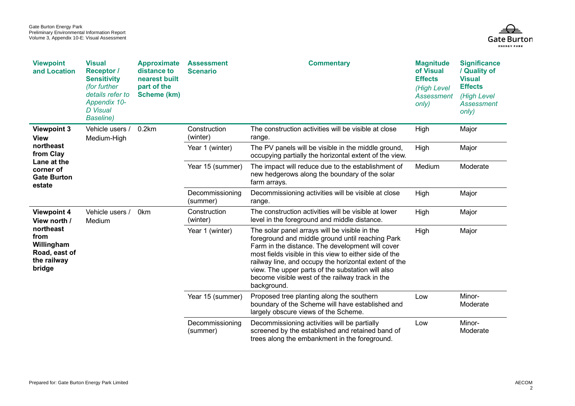

| <b>Viewpoint</b><br>and Location                                                                                | <b>Visual</b><br><b>Receptor</b> /<br><b>Sensitivity</b><br>(for further<br>details refer to<br>Appendix 10-<br><b>D</b> Visual<br><b>Baseline</b> ) | <b>Approximate</b><br>distance to<br>nearest built<br>part of the<br>Scheme (km)   | <b>Assessment</b><br><b>Scenario</b>                                                                                                                                                                                                                                                                                                                                                            | <b>Commentary</b>                                                                                                                                 | <b>Magnitude</b><br>of Visual<br><b>Effects</b><br>(High Level<br><b>Assessment</b><br>only) | <b>Significance</b><br>/ Quality of<br><b>Visual</b><br><b>Effects</b><br>(High Level<br><b>Assessment</b><br>only) |
|-----------------------------------------------------------------------------------------------------------------|------------------------------------------------------------------------------------------------------------------------------------------------------|------------------------------------------------------------------------------------|-------------------------------------------------------------------------------------------------------------------------------------------------------------------------------------------------------------------------------------------------------------------------------------------------------------------------------------------------------------------------------------------------|---------------------------------------------------------------------------------------------------------------------------------------------------|----------------------------------------------------------------------------------------------|---------------------------------------------------------------------------------------------------------------------|
| <b>Viewpoint 3</b><br><b>View</b>                                                                               | Vehicle users /<br>Medium-High                                                                                                                       | 0.2km                                                                              | Construction<br>(winter)                                                                                                                                                                                                                                                                                                                                                                        | The construction activities will be visible at close<br>range.                                                                                    | High                                                                                         | Major                                                                                                               |
| northeast<br>from Clay                                                                                          |                                                                                                                                                      |                                                                                    | Year 1 (winter)                                                                                                                                                                                                                                                                                                                                                                                 | The PV panels will be visible in the middle ground,<br>occupying partially the horizontal extent of the view.                                     | High                                                                                         | Major                                                                                                               |
| Lane at the<br>corner of<br><b>Gate Burton</b><br>estate                                                        |                                                                                                                                                      |                                                                                    | Year 15 (summer)                                                                                                                                                                                                                                                                                                                                                                                | The impact will reduce due to the establishment of<br>new hedgerows along the boundary of the solar<br>farm arrays.                               | Medium                                                                                       | Moderate                                                                                                            |
|                                                                                                                 |                                                                                                                                                      |                                                                                    | Decommissioning<br>(summer)                                                                                                                                                                                                                                                                                                                                                                     | Decommissioning activities will be visible at close<br>range.                                                                                     | High                                                                                         | Major                                                                                                               |
| <b>Viewpoint 4</b><br>View north /<br>northeast<br>from<br>Willingham<br>Road, east of<br>the railway<br>bridge | Vehicle users /<br>Medium                                                                                                                            | 0 <sub>km</sub><br>Construction<br>(winter)<br>Year 1 (winter)<br>Year 15 (summer) |                                                                                                                                                                                                                                                                                                                                                                                                 | The construction activities will be visible at lower<br>level in the foreground and middle distance.                                              | High                                                                                         | Major                                                                                                               |
|                                                                                                                 |                                                                                                                                                      |                                                                                    | The solar panel arrays will be visible in the<br>foreground and middle ground until reaching Park<br>Farm in the distance. The development will cover<br>most fields visible in this view to either side of the<br>railway line, and occupy the horizontal extent of the<br>view. The upper parts of the substation will also<br>become visible west of the railway track in the<br>background. | High                                                                                                                                              | Major                                                                                        |                                                                                                                     |
|                                                                                                                 |                                                                                                                                                      |                                                                                    |                                                                                                                                                                                                                                                                                                                                                                                                 | Proposed tree planting along the southern<br>boundary of the Scheme will have established and<br>largely obscure views of the Scheme.             | Low                                                                                          | Minor-<br>Moderate                                                                                                  |
|                                                                                                                 |                                                                                                                                                      |                                                                                    | Decommissioning<br>(summer)                                                                                                                                                                                                                                                                                                                                                                     | Decommissioning activities will be partially<br>screened by the established and retained band of<br>trees along the embankment in the foreground. | Low                                                                                          | Minor-<br>Moderate                                                                                                  |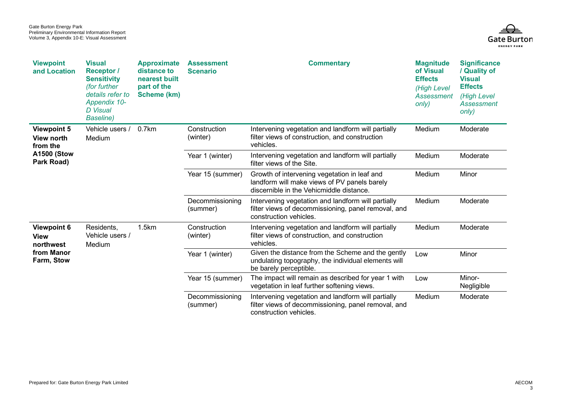

| <b>Viewpoint</b><br>and Location                    | <b>Visual</b><br><b>Receptor</b> /<br><b>Sensitivity</b><br>(for further<br>details refer to<br>Appendix 10-<br><b>D</b> Visual<br><b>Baseline</b> ) | <b>Approximate</b><br>distance to<br>nearest built<br>part of the<br>Scheme (km) | <b>Assessment</b><br><b>Scenario</b>                                                                 | <b>Commentary</b>                                                                                                                        | <b>Magnitude</b><br>of Visual<br><b>Effects</b><br>(High Level<br>Assessment<br>only) | <b>Significance</b><br>/ Quality of<br><b>Visual</b><br><b>Effects</b><br>(High Level<br>Assessment<br>only) |
|-----------------------------------------------------|------------------------------------------------------------------------------------------------------------------------------------------------------|----------------------------------------------------------------------------------|------------------------------------------------------------------------------------------------------|------------------------------------------------------------------------------------------------------------------------------------------|---------------------------------------------------------------------------------------|--------------------------------------------------------------------------------------------------------------|
| <b>Viewpoint 5</b><br><b>View north</b><br>from the | Vehicle users /<br>Medium                                                                                                                            | 0.7km                                                                            | Construction<br>(winter)                                                                             | Intervening vegetation and landform will partially<br>filter views of construction, and construction<br>vehicles.                        | Medium                                                                                | Moderate                                                                                                     |
| <b>A1500 (Stow</b><br>Park Road)                    |                                                                                                                                                      |                                                                                  | Year 1 (winter)                                                                                      | Intervening vegetation and landform will partially<br>filter views of the Site.                                                          | Medium                                                                                | Moderate                                                                                                     |
|                                                     |                                                                                                                                                      |                                                                                  | Year 15 (summer)                                                                                     | Growth of intervening vegetation in leaf and<br>landform will make views of PV panels barely<br>discernible in the Vehicmiddle distance. | Medium                                                                                | Minor                                                                                                        |
|                                                     |                                                                                                                                                      |                                                                                  | Decommissioning<br>(summer)                                                                          | Intervening vegetation and landform will partially<br>filter views of decommissioning, panel removal, and<br>construction vehicles.      | Medium                                                                                | Moderate                                                                                                     |
| <b>Viewpoint 6</b><br><b>View</b><br>northwest      | Residents,<br>Vehicle users /                                                                                                                        | 1.5km<br>Construction<br>(winter)<br>vehicles.<br>Medium                         | Intervening vegetation and landform will partially<br>filter views of construction, and construction | Medium                                                                                                                                   | Moderate                                                                              |                                                                                                              |
| from Manor<br>Farm, Stow                            |                                                                                                                                                      |                                                                                  | Year 1 (winter)                                                                                      | Given the distance from the Scheme and the gently<br>undulating topography, the individual elements will<br>be barely perceptible.       | Low                                                                                   | Minor                                                                                                        |
|                                                     |                                                                                                                                                      |                                                                                  | Year 15 (summer)                                                                                     | The impact will remain as described for year 1 with<br>vegetation in leaf further softening views.                                       | Low                                                                                   | Minor-<br>Negligible                                                                                         |
|                                                     |                                                                                                                                                      |                                                                                  | Decommissioning<br>(summer)                                                                          | Intervening vegetation and landform will partially<br>filter views of decommissioning, panel removal, and<br>construction vehicles.      | Medium                                                                                | Moderate                                                                                                     |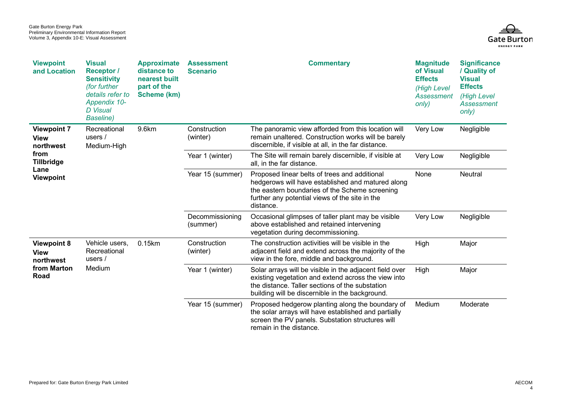

| <b>Viewpoint</b><br>and Location                                                                        | <b>Visual</b><br><b>Receptor</b> /<br><b>Sensitivity</b><br>(for further<br>details refer to<br>Appendix 10-<br><b>D</b> Visual<br><b>Baseline</b> ) | <b>Approximate</b><br>distance to<br>nearest built<br>part of the<br>Scheme (km) | <b>Assessment</b><br><b>Scenario</b> | <b>Commentary</b>                                                                                                                                                                                                    | <b>Magnitude</b><br>of Visual<br><b>Effects</b><br>(High Level<br>Assessment<br>only)                                                                  | <b>Significance</b><br>/ Quality of<br><b>Visual</b><br><b>Effects</b><br>(High Level<br><b>Assessment</b><br>only) |       |
|---------------------------------------------------------------------------------------------------------|------------------------------------------------------------------------------------------------------------------------------------------------------|----------------------------------------------------------------------------------|--------------------------------------|----------------------------------------------------------------------------------------------------------------------------------------------------------------------------------------------------------------------|--------------------------------------------------------------------------------------------------------------------------------------------------------|---------------------------------------------------------------------------------------------------------------------|-------|
| <b>Viewpoint 7</b><br><b>View</b><br>northwest<br>from<br><b>Tillbridge</b><br>Lane<br><b>Viewpoint</b> | Recreational<br>users $/$<br>Medium-High                                                                                                             | 9.6km                                                                            | Construction<br>(winter)             | The panoramic view afforded from this location will<br>remain unaltered. Construction works will be barely<br>discernible, if visible at all, in the far distance.                                                   | Very Low                                                                                                                                               | Negligible                                                                                                          |       |
|                                                                                                         |                                                                                                                                                      |                                                                                  | Year 1 (winter)                      | The Site will remain barely discernible, if visible at<br>all, in the far distance.                                                                                                                                  | Very Low                                                                                                                                               | Negligible                                                                                                          |       |
|                                                                                                         |                                                                                                                                                      |                                                                                  | Year 15 (summer)                     | Proposed linear belts of trees and additional<br>hedgerows will have established and matured along<br>the eastern boundaries of the Scheme screening<br>further any potential views of the site in the<br>distance.  | None                                                                                                                                                   | Neutral                                                                                                             |       |
|                                                                                                         |                                                                                                                                                      |                                                                                  | Decommissioning<br>(summer)          | Occasional glimpses of taller plant may be visible<br>above established and retained intervening<br>vegetation during decommissioning.                                                                               | Very Low                                                                                                                                               | Negligible                                                                                                          |       |
| <b>Viewpoint 8</b><br><b>View</b><br>northwest                                                          | Vehicle users.<br>Recreational<br>users $/$                                                                                                          |                                                                                  | 0.15km                               | Construction<br>(winter)                                                                                                                                                                                             | The construction activities will be visible in the<br>adjacent field and extend across the majority of the<br>view in the fore, middle and background. | High                                                                                                                | Major |
| from Marton<br>Road                                                                                     | Medium                                                                                                                                               |                                                                                  | Year 1 (winter)                      | Solar arrays will be visible in the adjacent field over<br>existing vegetation and extend across the view into<br>the distance. Taller sections of the substation<br>building will be discernible in the background. | High                                                                                                                                                   | Major                                                                                                               |       |
|                                                                                                         |                                                                                                                                                      |                                                                                  | Year 15 (summer)                     | Proposed hedgerow planting along the boundary of<br>the solar arrays will have established and partially<br>screen the PV panels. Substation structures will<br>remain in the distance.                              | Medium                                                                                                                                                 | Moderate                                                                                                            |       |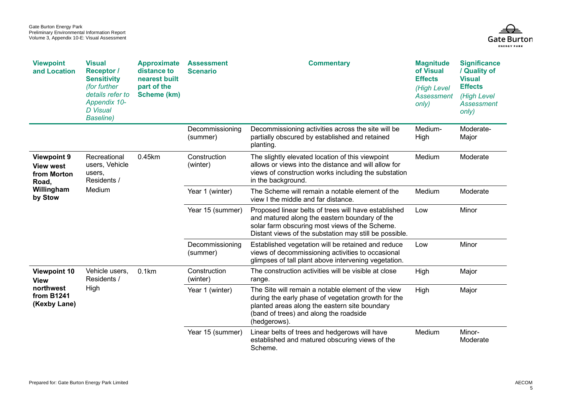

| <b>Viewpoint</b><br>and Location                                                        | <b>Visual</b><br><b>Receptor</b> /<br><b>Sensitivity</b><br>(for further<br>details refer to<br>Appendix 10-<br><b>D</b> Visual<br><b>Baseline</b> ) | <b>Approximate</b><br>distance to<br>nearest built<br>part of the<br>Scheme (km) | <b>Assessment</b><br><b>Scenario</b> | <b>Commentary</b>                                                                                                                                                                                                    | <b>Magnitude</b><br>of Visual<br><b>Effects</b><br>(High Level<br><b>Assessment</b><br>only) | <b>Significance</b><br>/ Quality of<br><b>Visual</b><br><b>Effects</b><br>(High Level<br>Assessment<br>only) |
|-----------------------------------------------------------------------------------------|------------------------------------------------------------------------------------------------------------------------------------------------------|----------------------------------------------------------------------------------|--------------------------------------|----------------------------------------------------------------------------------------------------------------------------------------------------------------------------------------------------------------------|----------------------------------------------------------------------------------------------|--------------------------------------------------------------------------------------------------------------|
|                                                                                         |                                                                                                                                                      |                                                                                  | Decommissioning<br>(summer)          | Decommissioning activities across the site will be<br>partially obscured by established and retained<br>planting.                                                                                                    | Medium-<br>High                                                                              | Moderate-<br>Major                                                                                           |
| <b>Viewpoint 9</b><br><b>View west</b><br>from Morton<br>Road,<br>Willingham<br>by Stow | Recreational<br>users, Vehicle<br>users,<br>Residents /                                                                                              | 0.45km                                                                           | Construction<br>(winter)             | The slightly elevated location of this viewpoint<br>allows or views into the distance and will allow for<br>views of construction works including the substation<br>in the background.                               | Medium                                                                                       | Moderate                                                                                                     |
|                                                                                         | Medium                                                                                                                                               |                                                                                  | Year 1 (winter)                      | The Scheme will remain a notable element of the<br>view I the middle and far distance.                                                                                                                               | Medium                                                                                       | Moderate                                                                                                     |
|                                                                                         |                                                                                                                                                      |                                                                                  | Year 15 (summer)                     | Proposed linear belts of trees will have established<br>and matured along the eastern boundary of the<br>solar farm obscuring most views of the Scheme.<br>Distant views of the substation may still be possible.    | Low                                                                                          | Minor                                                                                                        |
|                                                                                         |                                                                                                                                                      |                                                                                  | Decommissioning<br>(summer)          | Established vegetation will be retained and reduce<br>views of decommissioning activities to occasional<br>glimpses of tall plant above intervening vegetation.                                                      | Low                                                                                          | Minor                                                                                                        |
| <b>Viewpoint 10</b><br><b>View</b>                                                      | Vehicle users,<br>Residents /                                                                                                                        | 0.1km                                                                            | Construction<br>(winter)             | The construction activities will be visible at close<br>range.                                                                                                                                                       | High                                                                                         | Major                                                                                                        |
| northwest<br>from B1241<br>(Kexby Lane)                                                 | High                                                                                                                                                 |                                                                                  | Year 1 (winter)                      | The Site will remain a notable element of the view<br>during the early phase of vegetation growth for the<br>planted areas along the eastern site boundary<br>(band of trees) and along the roadside<br>(hedgerows). | High                                                                                         | Major                                                                                                        |
|                                                                                         |                                                                                                                                                      |                                                                                  | Year 15 (summer)                     | Linear belts of trees and hedgerows will have<br>established and matured obscuring views of the<br>Scheme.                                                                                                           | Medium                                                                                       | Minor-<br>Moderate                                                                                           |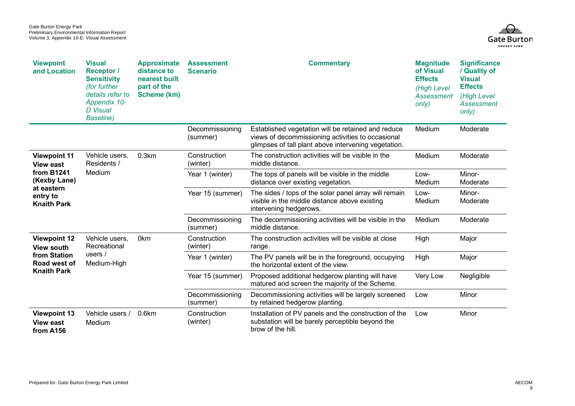

| <b>Viewpoint</b><br>and Location                                                                                             | <b>Visual</b><br><b>Receptor</b> /<br><b>Sensitivity</b><br>(for further<br>details refer to<br>Appendix 10-<br><b>D</b> Visual<br><b>Baseline</b> ) | <b>Approximate</b><br>distance to<br>nearest built<br>part of the<br>Scheme (km) | <b>Assessment</b><br><b>Scenario</b> | <b>Commentary</b>                                                                                                                                               | <b>Magnitude</b><br>of Visual<br><b>Effects</b><br>(High Level<br>Assessment<br>only) | <b>Significance</b><br>/ Quality of<br><b>Visual</b><br><b>Effects</b><br>(High Level<br>Assessment<br>only) |
|------------------------------------------------------------------------------------------------------------------------------|------------------------------------------------------------------------------------------------------------------------------------------------------|----------------------------------------------------------------------------------|--------------------------------------|-----------------------------------------------------------------------------------------------------------------------------------------------------------------|---------------------------------------------------------------------------------------|--------------------------------------------------------------------------------------------------------------|
|                                                                                                                              |                                                                                                                                                      |                                                                                  | Decommissioning<br>(summer)          | Established vegetation will be retained and reduce<br>views of decommissioning activities to occasional<br>glimpses of tall plant above intervening vegetation. | Medium                                                                                | Moderate                                                                                                     |
| <b>Viewpoint 11</b><br><b>View east</b><br><b>from B1241</b><br>(Kexby Lane)<br>at eastern<br>entry to<br><b>Knaith Park</b> | Vehicle users,<br>Residents /                                                                                                                        | 0.3km                                                                            | Construction<br>(winter)             | The construction activities will be visible in the<br>middle distance.                                                                                          | Medium                                                                                | Moderate                                                                                                     |
|                                                                                                                              | Medium                                                                                                                                               |                                                                                  | Year 1 (winter)                      | The tops of panels will be visible in the middle<br>distance over existing vegetation.                                                                          | Low-<br>Medium                                                                        | Minor-<br>Moderate                                                                                           |
|                                                                                                                              |                                                                                                                                                      |                                                                                  | Year 15 (summer)                     | The sides / tops of the solar panel array will remain<br>visible in the middle distance above existing<br>intervening hedgerows.                                | Low-<br>Medium                                                                        | Minor-<br>Moderate                                                                                           |
|                                                                                                                              |                                                                                                                                                      |                                                                                  | Decommissioning<br>(summer)          | The decommissioning activities will be visible in the<br>middle distance.                                                                                       | Medium                                                                                | Moderate                                                                                                     |
| <b>Viewpoint 12</b><br>View south                                                                                            | Vehicle users,<br>Recreational                                                                                                                       | 0 <sub>km</sub>                                                                  | Construction<br>(winter)             | The construction activities will be visible at close<br>range.                                                                                                  | High                                                                                  | Major                                                                                                        |
| from Station<br>Road west of                                                                                                 | users /<br>Medium-High                                                                                                                               |                                                                                  | Year 1 (winter)                      | The PV panels will be in the foreground, occupying<br>the horizontal extent of the view.                                                                        | High                                                                                  | Major                                                                                                        |
| <b>Knaith Park</b>                                                                                                           |                                                                                                                                                      |                                                                                  | Year 15 (summer)                     | Proposed additional hedgerow planting will have<br>matured and screen the majority of the Scheme.                                                               | Very Low                                                                              | Negligible                                                                                                   |
|                                                                                                                              |                                                                                                                                                      |                                                                                  | Decommissioning<br>(summer)          | Decommissioning activities will be largely screened<br>by retained hedgerow planting.                                                                           | Low                                                                                   | Minor                                                                                                        |
| <b>Viewpoint 13</b><br><b>View east</b><br>from A156                                                                         | Vehicle users /<br>Medium                                                                                                                            | 0.6km                                                                            | Construction<br>(winter)             | Installation of PV panels and the construction of the<br>substation will be barely perceptible beyond the<br>brow of the hill.                                  | Low                                                                                   | Minor                                                                                                        |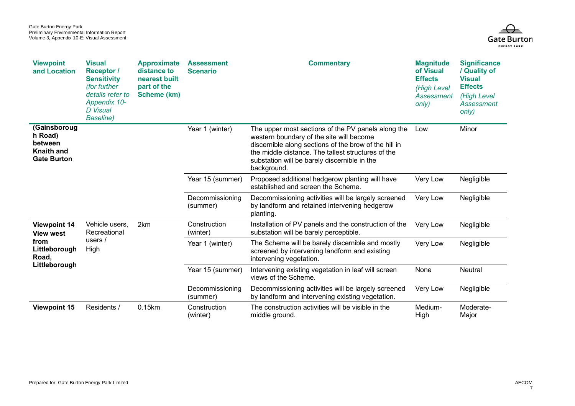

| <b>Viewpoint</b><br>and Location                                       | <b>Visual</b><br><b>Receptor</b> /<br><b>Sensitivity</b><br>(for further<br>details refer to<br>Appendix 10-<br><b>D</b> Visual<br><b>Baseline</b> ) | <b>Approximate</b><br>distance to<br>nearest built<br>part of the<br>Scheme (km) | <b>Assessment</b><br><b>Scenario</b> | <b>Commentary</b>                                                                                                                                                                                                                                                            | <b>Magnitude</b><br>of Visual<br><b>Effects</b><br><b>(High Level</b><br>Assessment<br>only) | <b>Significance</b><br>/ Quality of<br><b>Visual</b><br><b>Effects</b><br>(High Level<br>Assessment<br>only) |
|------------------------------------------------------------------------|------------------------------------------------------------------------------------------------------------------------------------------------------|----------------------------------------------------------------------------------|--------------------------------------|------------------------------------------------------------------------------------------------------------------------------------------------------------------------------------------------------------------------------------------------------------------------------|----------------------------------------------------------------------------------------------|--------------------------------------------------------------------------------------------------------------|
| (Gainsboroug<br>h Road)<br>between<br>Knaith and<br><b>Gate Burton</b> |                                                                                                                                                      |                                                                                  | Year 1 (winter)                      | The upper most sections of the PV panels along the<br>western boundary of the site will become<br>discernible along sections of the brow of the hill in<br>the middle distance. The tallest structures of the<br>substation will be barely discernible in the<br>background. | Low                                                                                          | Minor                                                                                                        |
|                                                                        |                                                                                                                                                      |                                                                                  | Year 15 (summer)                     | Proposed additional hedgerow planting will have<br>established and screen the Scheme.                                                                                                                                                                                        | Very Low                                                                                     | Negligible                                                                                                   |
|                                                                        |                                                                                                                                                      |                                                                                  | Decommissioning<br>(summer)          | Decommissioning activities will be largely screened<br>by landform and retained intervening hedgerow<br>planting.                                                                                                                                                            | Very Low                                                                                     | Negligible                                                                                                   |
| <b>Viewpoint 14</b><br><b>View west</b>                                | Vehicle users,<br>Recreational                                                                                                                       | 2km                                                                              | Construction<br>(winter)             | Installation of PV panels and the construction of the<br>substation will be barely perceptible.                                                                                                                                                                              | Very Low                                                                                     | Negligible                                                                                                   |
| from<br>Littleborough<br>Road,<br>Littleborough                        | users $/$<br>High                                                                                                                                    |                                                                                  | Year 1 (winter)                      | The Scheme will be barely discernible and mostly<br>screened by intervening landform and existing<br>intervening vegetation.                                                                                                                                                 | Very Low                                                                                     | Negligible                                                                                                   |
|                                                                        |                                                                                                                                                      |                                                                                  | Year 15 (summer)                     | Intervening existing vegetation in leaf will screen<br>views of the Scheme.                                                                                                                                                                                                  | None                                                                                         | <b>Neutral</b>                                                                                               |
|                                                                        |                                                                                                                                                      |                                                                                  | Decommissioning<br>(summer)          | Decommissioning activities will be largely screened<br>by landform and intervening existing vegetation.                                                                                                                                                                      | Very Low                                                                                     | Negligible                                                                                                   |
| <b>Viewpoint 15</b>                                                    | Residents /                                                                                                                                          | 0.15km                                                                           | Construction<br>(winter)             | The construction activities will be visible in the<br>middle ground.                                                                                                                                                                                                         | Medium-<br>High                                                                              | Moderate-<br>Major                                                                                           |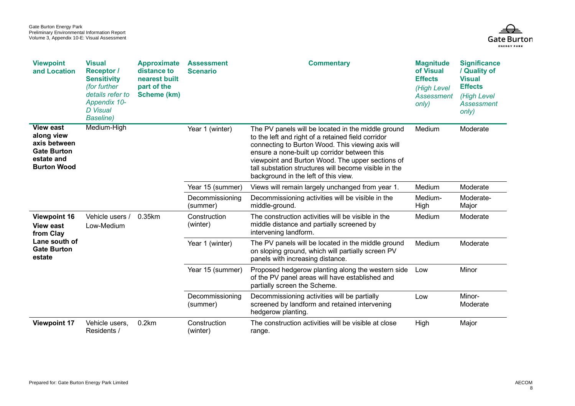

| <b>Viewpoint</b><br>and Location                                                                         | <b>Visual</b><br><b>Receptor</b> /<br><b>Sensitivity</b><br>(for further<br>details refer to<br><b>Appendix 10-</b><br><b>D</b> Visual<br><b>Baseline</b> ) | <b>Approximate</b><br>distance to<br>nearest built<br>part of the<br>Scheme (km) | <b>Assessment</b><br><b>Scenario</b> | <b>Commentary</b>                                                                                                                                                                                                                                                                                                                                                  | <b>Magnitude</b><br>of Visual<br><b>Effects</b><br>(High Level<br>Assessment<br>only) | <b>Significance</b><br>/ Quality of<br><b>Visual</b><br><b>Effects</b><br>(High Level<br>Assessment<br>only) |
|----------------------------------------------------------------------------------------------------------|-------------------------------------------------------------------------------------------------------------------------------------------------------------|----------------------------------------------------------------------------------|--------------------------------------|--------------------------------------------------------------------------------------------------------------------------------------------------------------------------------------------------------------------------------------------------------------------------------------------------------------------------------------------------------------------|---------------------------------------------------------------------------------------|--------------------------------------------------------------------------------------------------------------|
| <b>View east</b><br>along view<br>axis between<br><b>Gate Burton</b><br>estate and<br><b>Burton Wood</b> | Medium-High                                                                                                                                                 |                                                                                  | Year 1 (winter)                      | The PV panels will be located in the middle ground<br>to the left and right of a retained field corridor<br>connecting to Burton Wood. This viewing axis will<br>ensure a none-built up corridor between this<br>viewpoint and Burton Wood. The upper sections of<br>tall substation structures will become visible in the<br>background in the left of this view. | Medium                                                                                | Moderate                                                                                                     |
|                                                                                                          |                                                                                                                                                             |                                                                                  | Year 15 (summer)                     | Views will remain largely unchanged from year 1.                                                                                                                                                                                                                                                                                                                   | Medium                                                                                | Moderate                                                                                                     |
|                                                                                                          |                                                                                                                                                             |                                                                                  | Decommissioning<br>(summer)          | Decommissioning activities will be visible in the<br>middle-ground.                                                                                                                                                                                                                                                                                                | Medium-<br>High                                                                       | Moderate-<br>Major                                                                                           |
| <b>Viewpoint 16</b><br><b>View east</b><br>from Clay<br>Lane south of<br><b>Gate Burton</b><br>estate    | Vehicle users /<br>Low-Medium                                                                                                                               | 0.35km                                                                           | Construction<br>(winter)             | The construction activities will be visible in the<br>middle distance and partially screened by<br>intervening landform.                                                                                                                                                                                                                                           | Medium                                                                                | Moderate                                                                                                     |
|                                                                                                          |                                                                                                                                                             |                                                                                  | Year 1 (winter)                      | The PV panels will be located in the middle ground<br>on sloping ground, which will partially screen PV<br>panels with increasing distance.                                                                                                                                                                                                                        | Medium                                                                                | Moderate                                                                                                     |
|                                                                                                          |                                                                                                                                                             |                                                                                  | Year 15 (summer)                     | Proposed hedgerow planting along the western side<br>of the PV panel areas will have established and<br>partially screen the Scheme.                                                                                                                                                                                                                               | Low                                                                                   | Minor                                                                                                        |
|                                                                                                          |                                                                                                                                                             |                                                                                  | Decommissioning<br>(summer)          | Decommissioning activities will be partially<br>screened by landform and retained intervening<br>hedgerow planting.                                                                                                                                                                                                                                                | Low                                                                                   | Minor-<br>Moderate                                                                                           |
| <b>Viewpoint 17</b>                                                                                      | Vehicle users,<br>Residents /                                                                                                                               | 0.2km                                                                            | Construction<br>(winter)             | The construction activities will be visible at close<br>range.                                                                                                                                                                                                                                                                                                     | High                                                                                  | Major                                                                                                        |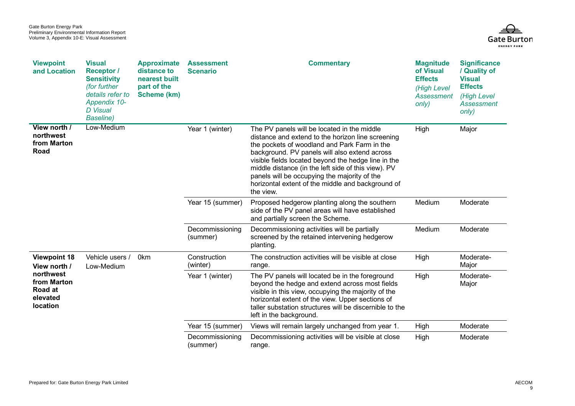

| <b>Viewpoint</b><br>and Location                            | <b>Visual</b><br><b>Receptor /</b><br><b>Sensitivity</b><br>(for further<br>details refer to<br><b>Appendix 10-</b><br><b>D</b> Visual<br><b>Baseline</b> ) | <b>Approximate</b><br>distance to<br>nearest built<br>part of the<br>Scheme (km) | <b>Assessment</b><br><b>Scenario</b> | <b>Commentary</b>                                                                                                                                                                                                                                                                                                                                                                                                                 | <b>Magnitude</b><br>of Visual<br><b>Effects</b><br>(High Level<br>Assessment<br>only) | <b>Significance</b><br>/ Quality of<br><b>Visual</b><br><b>Effects</b><br>(High Level<br><b>Assessment</b><br>only) |
|-------------------------------------------------------------|-------------------------------------------------------------------------------------------------------------------------------------------------------------|----------------------------------------------------------------------------------|--------------------------------------|-----------------------------------------------------------------------------------------------------------------------------------------------------------------------------------------------------------------------------------------------------------------------------------------------------------------------------------------------------------------------------------------------------------------------------------|---------------------------------------------------------------------------------------|---------------------------------------------------------------------------------------------------------------------|
| View north /<br>northwest<br>from Marton<br>Road            | Low-Medium                                                                                                                                                  |                                                                                  | Year 1 (winter)                      | The PV panels will be located in the middle<br>distance and extend to the horizon line screening<br>the pockets of woodland and Park Farm in the<br>background. PV panels will also extend across<br>visible fields located beyond the hedge line in the<br>middle distance (in the left side of this view). PV<br>panels will be occupying the majority of the<br>horizontal extent of the middle and background of<br>the view. | High                                                                                  | Major                                                                                                               |
|                                                             |                                                                                                                                                             |                                                                                  | Year 15 (summer)                     | Proposed hedgerow planting along the southern<br>side of the PV panel areas will have established<br>and partially screen the Scheme.                                                                                                                                                                                                                                                                                             | Medium                                                                                | Moderate                                                                                                            |
|                                                             |                                                                                                                                                             |                                                                                  | Decommissioning<br>(summer)          | Decommissioning activities will be partially<br>screened by the retained intervening hedgerow<br>planting.                                                                                                                                                                                                                                                                                                                        | Medium                                                                                | Moderate                                                                                                            |
| <b>Viewpoint 18</b><br>View north /                         | Vehicle users /<br>Low-Medium                                                                                                                               | 0 <sub>km</sub>                                                                  | Construction<br>(winter)             | The construction activities will be visible at close<br>range.                                                                                                                                                                                                                                                                                                                                                                    | High                                                                                  | Moderate-<br>Major                                                                                                  |
| northwest<br>from Marton<br>Road at<br>elevated<br>location |                                                                                                                                                             |                                                                                  | Year 1 (winter)                      | The PV panels will located be in the foreground<br>beyond the hedge and extend across most fields<br>visible in this view, occupying the majority of the<br>horizontal extent of the view. Upper sections of<br>taller substation structures will be discernible to the<br>left in the background.                                                                                                                                | High                                                                                  | Moderate-<br>Major                                                                                                  |
|                                                             |                                                                                                                                                             |                                                                                  | Year 15 (summer)                     | Views will remain largely unchanged from year 1.                                                                                                                                                                                                                                                                                                                                                                                  | High                                                                                  | Moderate                                                                                                            |
|                                                             |                                                                                                                                                             |                                                                                  | Decommissioning<br>(summer)          | Decommissioning activities will be visible at close<br>range.                                                                                                                                                                                                                                                                                                                                                                     | High                                                                                  | Moderate                                                                                                            |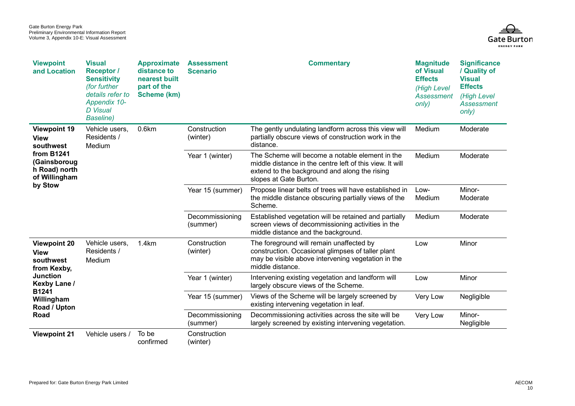

| <b>Viewpoint</b><br>and Location                                                                                                  | <b>Visual</b><br><b>Receptor</b> /<br><b>Sensitivity</b><br>(for further<br>details refer to<br>Appendix 10-<br><b>D</b> Visual<br><b>Baseline</b> ) | <b>Approximate</b><br>distance to<br>nearest built<br>part of the<br>Scheme (km) | <b>Assessment</b><br><b>Scenario</b> | <b>Commentary</b>                                                                                                                                                                      | <b>Magnitude</b><br>of Visual<br><b>Effects</b><br>(High Level<br><b>Assessment</b><br>only) | <b>Significance</b><br>/ Quality of<br><b>Visual</b><br><b>Effects</b><br>(High Level<br><b>Assessment</b><br>only) |
|-----------------------------------------------------------------------------------------------------------------------------------|------------------------------------------------------------------------------------------------------------------------------------------------------|----------------------------------------------------------------------------------|--------------------------------------|----------------------------------------------------------------------------------------------------------------------------------------------------------------------------------------|----------------------------------------------------------------------------------------------|---------------------------------------------------------------------------------------------------------------------|
| <b>Viewpoint 19</b><br><b>View</b><br>southwest<br><b>from B1241</b><br>(Gainsboroug<br>h Road) north<br>of Willingham<br>by Stow | Vehicle users,<br>Residents /<br>Medium                                                                                                              | 0.6km                                                                            | Construction<br>(winter)             | The gently undulating landform across this view will<br>partially obscure views of construction work in the<br>distance.                                                               | Medium                                                                                       | Moderate                                                                                                            |
|                                                                                                                                   |                                                                                                                                                      |                                                                                  | Year 1 (winter)                      | The Scheme will become a notable element in the<br>middle distance in the centre left of this view. It will<br>extend to the background and along the rising<br>slopes at Gate Burton. | Medium                                                                                       | Moderate                                                                                                            |
|                                                                                                                                   |                                                                                                                                                      |                                                                                  | Year 15 (summer)                     | Propose linear belts of trees will have established in<br>the middle distance obscuring partially views of the<br>Scheme.                                                              | Low-<br>Medium                                                                               | Minor-<br>Moderate                                                                                                  |
|                                                                                                                                   |                                                                                                                                                      |                                                                                  | Decommissioning<br>(summer)          | Established vegetation will be retained and partially<br>screen views of decommissioning activities in the<br>middle distance and the background.                                      | Medium                                                                                       | Moderate                                                                                                            |
| <b>Viewpoint 20</b><br>View<br>southwest<br>from Kexby,                                                                           | Vehicle users,<br>Residents /<br>Medium                                                                                                              | 1.4km                                                                            | Construction<br>(winter)             | The foreground will remain unaffected by<br>construction. Occasional glimpses of taller plant<br>may be visible above intervening vegetation in the<br>middle distance.                | Low                                                                                          | Minor                                                                                                               |
| <b>Junction</b><br>Kexby Lane /                                                                                                   |                                                                                                                                                      |                                                                                  | Year 1 (winter)                      | Intervening existing vegetation and landform will<br>largely obscure views of the Scheme.                                                                                              | Low                                                                                          | Minor                                                                                                               |
| B1241<br>Willingham<br>Road / Upton<br>Road                                                                                       |                                                                                                                                                      |                                                                                  | Year 15 (summer)                     | Views of the Scheme will be largely screened by<br>existing intervening vegetation in leaf.                                                                                            | Very Low                                                                                     | Negligible                                                                                                          |
|                                                                                                                                   |                                                                                                                                                      |                                                                                  | Decommissioning<br>(summer)          | Decommissioning activities across the site will be<br>largely screened by existing intervening vegetation.                                                                             | Very Low                                                                                     | Minor-<br>Negligible                                                                                                |
| <b>Viewpoint 21</b>                                                                                                               | Vehicle users /                                                                                                                                      | To be<br>confirmed                                                               | Construction<br>(winter)             |                                                                                                                                                                                        |                                                                                              |                                                                                                                     |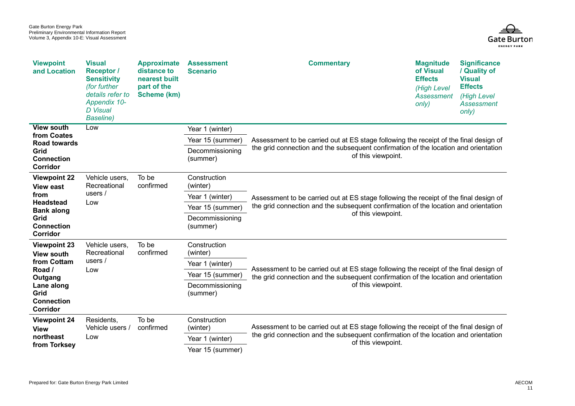

| <b>Viewpoint</b><br>and Location                                               | <b>Visual</b><br><b>Receptor</b> /<br><b>Sensitivity</b><br>(for further<br>details refer to<br>Appendix 10-<br><b>D</b> Visual<br><b>Baseline</b> ) | <b>Approximate</b><br>distance to<br>nearest built<br>part of the<br><b>Scheme (km)</b> | <b>Assessment</b><br><b>Scenario</b> | <b>Commentary</b>                                                                                                                                                                                  | <b>Magnitude</b><br>of Visual<br><b>Effects</b><br>(High Level<br>Assessment<br>only) | <b>Significance</b><br>/ Quality of<br><b>Visual</b><br><b>Effects</b><br>(High Level<br>Assessment<br>only) |  |
|--------------------------------------------------------------------------------|------------------------------------------------------------------------------------------------------------------------------------------------------|-----------------------------------------------------------------------------------------|--------------------------------------|----------------------------------------------------------------------------------------------------------------------------------------------------------------------------------------------------|---------------------------------------------------------------------------------------|--------------------------------------------------------------------------------------------------------------|--|
| <b>View south</b>                                                              | Low                                                                                                                                                  |                                                                                         | Year 1 (winter)                      |                                                                                                                                                                                                    |                                                                                       |                                                                                                              |  |
| from Coates<br><b>Road towards</b>                                             |                                                                                                                                                      |                                                                                         | Year 15 (summer)                     | Assessment to be carried out at ES stage following the receipt of the final design of<br>the grid connection and the subsequent confirmation of the location and orientation<br>of this viewpoint. |                                                                                       |                                                                                                              |  |
| Grid<br><b>Connection</b><br>Corridor                                          |                                                                                                                                                      |                                                                                         | Decommissioning<br>(summer)          |                                                                                                                                                                                                    |                                                                                       |                                                                                                              |  |
| <b>Viewpoint 22</b><br><b>View east</b>                                        | Vehicle users,<br>Recreational                                                                                                                       | To be<br>confirmed                                                                      | Construction<br>(winter)             |                                                                                                                                                                                                    |                                                                                       |                                                                                                              |  |
| from                                                                           | users $/$                                                                                                                                            |                                                                                         | Year 1 (winter)                      | Assessment to be carried out at ES stage following the receipt of the final design of                                                                                                              |                                                                                       |                                                                                                              |  |
| <b>Headstead</b><br><b>Bank along</b><br>Grid<br><b>Connection</b><br>Corridor | Low                                                                                                                                                  |                                                                                         | Year 15 (summer)                     | the grid connection and the subsequent confirmation of the location and orientation                                                                                                                |                                                                                       |                                                                                                              |  |
|                                                                                |                                                                                                                                                      |                                                                                         | Decommissioning<br>(summer)          | of this viewpoint.                                                                                                                                                                                 |                                                                                       |                                                                                                              |  |
| <b>Viewpoint 23</b><br><b>View south</b>                                       | Vehicle users,<br>Recreational                                                                                                                       | To be<br>confirmed                                                                      | Construction<br>(winter)             |                                                                                                                                                                                                    |                                                                                       |                                                                                                              |  |
| from Cottam                                                                    | users $/$                                                                                                                                            |                                                                                         | Year 1 (winter)                      | Assessment to be carried out at ES stage following the receipt of the final design of                                                                                                              |                                                                                       |                                                                                                              |  |
| Road /<br>Outgang                                                              | Low                                                                                                                                                  |                                                                                         | Year 15 (summer)                     | the grid connection and the subsequent confirmation of the location and orientation                                                                                                                |                                                                                       |                                                                                                              |  |
| Lane along<br>Grid<br><b>Connection</b><br>Corridor                            | (summer)                                                                                                                                             |                                                                                         | Decommissioning                      | of this viewpoint.                                                                                                                                                                                 |                                                                                       |                                                                                                              |  |
| <b>Viewpoint 24</b><br><b>View</b><br>northeast<br>Low<br>from Torksey         | Residents,<br>Vehicle users /                                                                                                                        | To be<br>confirmed                                                                      | Construction<br>(winter)             | Assessment to be carried out at ES stage following the receipt of the final design of                                                                                                              |                                                                                       |                                                                                                              |  |
|                                                                                |                                                                                                                                                      |                                                                                         | Year 1 (winter)                      | the grid connection and the subsequent confirmation of the location and orientation<br>of this viewpoint.                                                                                          |                                                                                       |                                                                                                              |  |
|                                                                                |                                                                                                                                                      |                                                                                         | Year 15 (summer)                     |                                                                                                                                                                                                    |                                                                                       |                                                                                                              |  |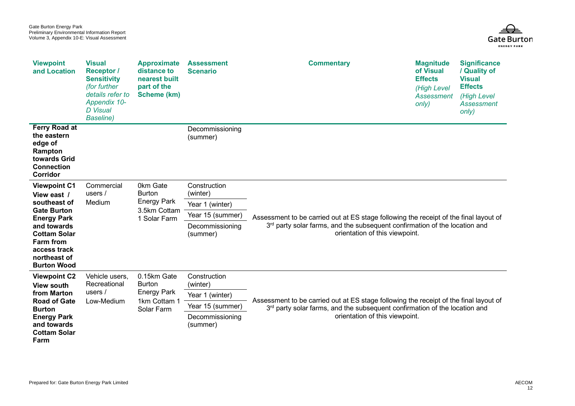

| <b>Viewpoint</b><br>and Location                                                                                                                                                                               | <b>Visual</b><br><b>Receptor /</b><br><b>Sensitivity</b><br>(for further<br>details refer to<br>Appendix 10-<br>D Visual<br><b>Baseline</b> ) | <b>Approximate</b><br>distance to<br>nearest built<br>part of the<br><b>Scheme (km)</b> | <b>Assessment</b><br><b>Scenario</b>                                                           | <b>Commentary</b>                                                                                                                                                                                                 | <b>Magnitude</b><br>of Visual<br><b>Effects</b><br>(High Level<br>Assessment<br>only) | <b>Significance</b><br>/ Quality of<br><b>Visual</b><br><b>Effects</b><br>(High Level<br>Assessment<br>only) |  |
|----------------------------------------------------------------------------------------------------------------------------------------------------------------------------------------------------------------|-----------------------------------------------------------------------------------------------------------------------------------------------|-----------------------------------------------------------------------------------------|------------------------------------------------------------------------------------------------|-------------------------------------------------------------------------------------------------------------------------------------------------------------------------------------------------------------------|---------------------------------------------------------------------------------------|--------------------------------------------------------------------------------------------------------------|--|
| Ferry Road at<br>the eastern<br>edge of<br>Rampton<br>towards Grid<br><b>Connection</b><br>Corridor                                                                                                            |                                                                                                                                               |                                                                                         | Decommissioning<br>(summer)                                                                    |                                                                                                                                                                                                                   |                                                                                       |                                                                                                              |  |
| <b>Viewpoint C1</b><br>View east /<br>southeast of<br><b>Gate Burton</b><br><b>Energy Park</b><br>and towards<br><b>Cottam Solar</b><br><b>Farm from</b><br>access track<br>northeast of<br><b>Burton Wood</b> | Commercial<br>users $/$<br>Medium                                                                                                             | 0km Gate<br><b>Burton</b><br><b>Energy Park</b><br>3.5km Cottam<br>1 Solar Farm         | Construction<br>(winter)<br>Year 1 (winter)<br>Year 15 (summer)<br>Decommissioning<br>(summer) | Assessment to be carried out at ES stage following the receipt of the final layout of<br>3 <sup>rd</sup> party solar farms, and the subsequent confirmation of the location and<br>orientation of this viewpoint. |                                                                                       |                                                                                                              |  |
| <b>Viewpoint C2</b><br><b>View south</b><br>from Marton<br><b>Road of Gate</b><br><b>Burton</b><br><b>Energy Park</b><br>and towards<br><b>Cottam Solar</b><br>Farm                                            | Vehicle users,<br>Recreational<br>users $/$<br>Low-Medium                                                                                     | 0.15km Gate<br><b>Burton</b><br><b>Energy Park</b><br>1km Cottam 1<br>Solar Farm        | Construction<br>(winter)<br>Year 1 (winter)<br>Year 15 (summer)<br>Decommissioning<br>(summer) | Assessment to be carried out at ES stage following the receipt of the final layout of<br>3 <sup>rd</sup> party solar farms, and the subsequent confirmation of the location and<br>orientation of this viewpoint. |                                                                                       |                                                                                                              |  |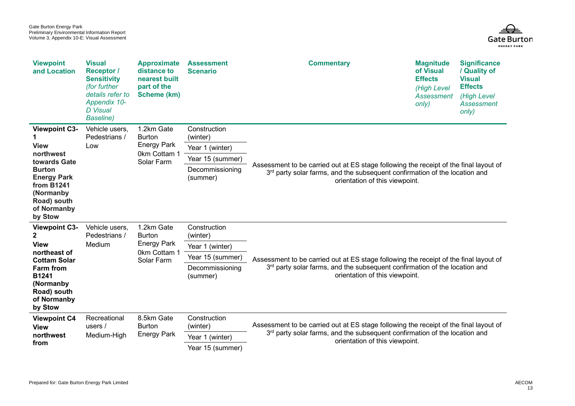

| <b>Viewpoint</b><br>and Location                                                                                                      | <b>Visual</b><br><b>Receptor</b> /<br><b>Sensitivity</b><br>(for further<br>details refer to<br>Appendix 10-<br><b>D</b> Visual<br><b>Baseline</b> ) | <b>Approximate</b><br>distance to<br>nearest built<br>part of the<br><b>Scheme (km)</b> | <b>Assessment</b><br><b>Scenario</b> | <b>Commentary</b>                                                                                                                                                                                                 | <b>Magnitude</b><br>of Visual<br><b>Effects</b><br>(High Level<br>Assessment<br>only) | <b>Significance</b><br>/ Quality of<br><b>Visual</b><br><b>Effects</b><br>(High Level<br><b>Assessment</b><br>only) |  |
|---------------------------------------------------------------------------------------------------------------------------------------|------------------------------------------------------------------------------------------------------------------------------------------------------|-----------------------------------------------------------------------------------------|--------------------------------------|-------------------------------------------------------------------------------------------------------------------------------------------------------------------------------------------------------------------|---------------------------------------------------------------------------------------|---------------------------------------------------------------------------------------------------------------------|--|
| <b>Viewpoint C3-</b><br><b>View</b>                                                                                                   | Vehicle users,<br>Pedestrians /<br>Low                                                                                                               | 1.2km Gate<br><b>Burton</b><br><b>Energy Park</b><br>0km Cottam 1<br>Solar Farm         | Construction<br>(winter)             | Assessment to be carried out at ES stage following the receipt of the final layout of<br>3rd party solar farms, and the subsequent confirmation of the location and<br>orientation of this viewpoint.             |                                                                                       |                                                                                                                     |  |
| northwest<br>towards Gate<br><b>Burton</b><br><b>Energy Park</b><br><b>from B1241</b>                                                 |                                                                                                                                                      |                                                                                         | Year 1 (winter)                      |                                                                                                                                                                                                                   |                                                                                       |                                                                                                                     |  |
|                                                                                                                                       |                                                                                                                                                      |                                                                                         | Year 15 (summer)                     |                                                                                                                                                                                                                   |                                                                                       |                                                                                                                     |  |
|                                                                                                                                       |                                                                                                                                                      |                                                                                         | Decommissioning<br>(summer)          |                                                                                                                                                                                                                   |                                                                                       |                                                                                                                     |  |
| (Normanby<br>Road) south<br>of Normanby<br>by Stow                                                                                    |                                                                                                                                                      |                                                                                         |                                      |                                                                                                                                                                                                                   |                                                                                       |                                                                                                                     |  |
| <b>Viewpoint C3-</b>                                                                                                                  | Vehicle users,<br>Pedestrians /<br>Medium                                                                                                            | 1.2km Gate<br><b>Burton</b><br><b>Energy Park</b><br>0km Cottam 1<br>Solar Farm         | Construction<br>(winter)             | Assessment to be carried out at ES stage following the receipt of the final layout of<br>3 <sup>rd</sup> party solar farms, and the subsequent confirmation of the location and<br>orientation of this viewpoint. |                                                                                       |                                                                                                                     |  |
| <b>View</b><br>northeast of<br><b>Cottam Solar</b><br>Farm from<br><b>B1241</b><br>(Normanby<br>Road) south<br>of Normanby<br>by Stow |                                                                                                                                                      |                                                                                         | Year 1 (winter)                      |                                                                                                                                                                                                                   |                                                                                       |                                                                                                                     |  |
|                                                                                                                                       |                                                                                                                                                      |                                                                                         | Year 15 (summer)                     |                                                                                                                                                                                                                   |                                                                                       |                                                                                                                     |  |
|                                                                                                                                       |                                                                                                                                                      |                                                                                         | Decommissioning<br>(summer)          |                                                                                                                                                                                                                   |                                                                                       |                                                                                                                     |  |
| <b>Viewpoint C4</b><br><b>View</b><br>northwest<br>from                                                                               | Recreational<br>users $/$<br>Medium-High                                                                                                             | 8.5km Gate<br><b>Burton</b><br><b>Energy Park</b>                                       | Construction                         | Assessment to be carried out at ES stage following the receipt of the final layout of<br>3 <sup>rd</sup> party solar farms, and the subsequent confirmation of the location and<br>orientation of this viewpoint. |                                                                                       |                                                                                                                     |  |
|                                                                                                                                       |                                                                                                                                                      |                                                                                         | (winter)                             |                                                                                                                                                                                                                   |                                                                                       |                                                                                                                     |  |
|                                                                                                                                       |                                                                                                                                                      |                                                                                         | Year 1 (winter)                      |                                                                                                                                                                                                                   |                                                                                       |                                                                                                                     |  |
|                                                                                                                                       |                                                                                                                                                      |                                                                                         | Year 15 (summer)                     |                                                                                                                                                                                                                   |                                                                                       |                                                                                                                     |  |